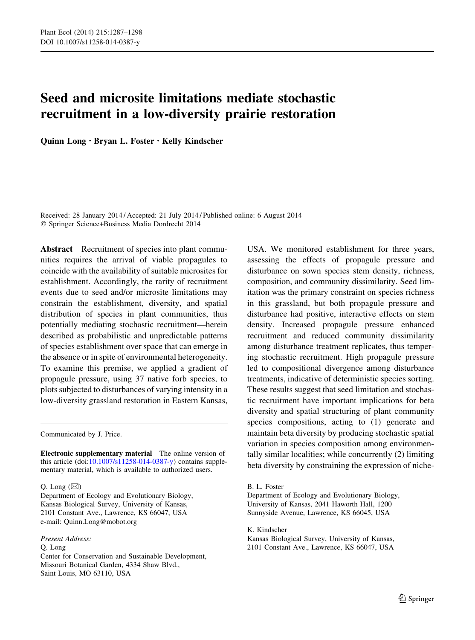# Seed and microsite limitations mediate stochastic recruitment in a low-diversity prairie restoration

Quinn Long • Bryan L. Foster • Kelly Kindscher

Received: 28 January 2014 / Accepted: 21 July 2014 / Published online: 6 August 2014 - Springer Science+Business Media Dordrecht 2014

Abstract Recruitment of species into plant communities requires the arrival of viable propagules to coincide with the availability of suitable microsites for establishment. Accordingly, the rarity of recruitment events due to seed and/or microsite limitations may constrain the establishment, diversity, and spatial distribution of species in plant communities, thus potentially mediating stochastic recruitment—herein described as probabilistic and unpredictable patterns of species establishment over space that can emerge in the absence or in spite of environmental heterogeneity. To examine this premise, we applied a gradient of propagule pressure, using 37 native forb species, to plots subjected to disturbances of varying intensity in a low-diversity grassland restoration in Eastern Kansas,

Communicated by J. Price.

Electronic supplementary material The online version of this article (doi[:10.1007/s11258-014-0387-y\)](http://dx.doi.org/10.1007/s11258-014-0387-y) contains supplementary material, which is available to authorized users.

Q. Long  $(\boxtimes)$ 

Department of Ecology and Evolutionary Biology, Kansas Biological Survey, University of Kansas, 2101 Constant Ave., Lawrence, KS 66047, USA e-mail: Quinn.Long@mobot.org

#### Present Address:

Q. Long

Center for Conservation and Sustainable Development, Missouri Botanical Garden, 4334 Shaw Blvd., Saint Louis, MO 63110, USA

USA. We monitored establishment for three years, assessing the effects of propagule pressure and disturbance on sown species stem density, richness, composition, and community dissimilarity. Seed limitation was the primary constraint on species richness in this grassland, but both propagule pressure and disturbance had positive, interactive effects on stem density. Increased propagule pressure enhanced recruitment and reduced community dissimilarity among disturbance treatment replicates, thus tempering stochastic recruitment. High propagule pressure led to compositional divergence among disturbance treatments, indicative of deterministic species sorting. These results suggest that seed limitation and stochastic recruitment have important implications for beta diversity and spatial structuring of plant community species compositions, acting to (1) generate and maintain beta diversity by producing stochastic spatial variation in species composition among environmentally similar localities; while concurrently (2) limiting beta diversity by constraining the expression of niche-

B. L. Foster

K. Kindscher Kansas Biological Survey, University of Kansas, 2101 Constant Ave., Lawrence, KS 66047, USA

Department of Ecology and Evolutionary Biology, University of Kansas, 2041 Haworth Hall, 1200 Sunnyside Avenue, Lawrence, KS 66045, USA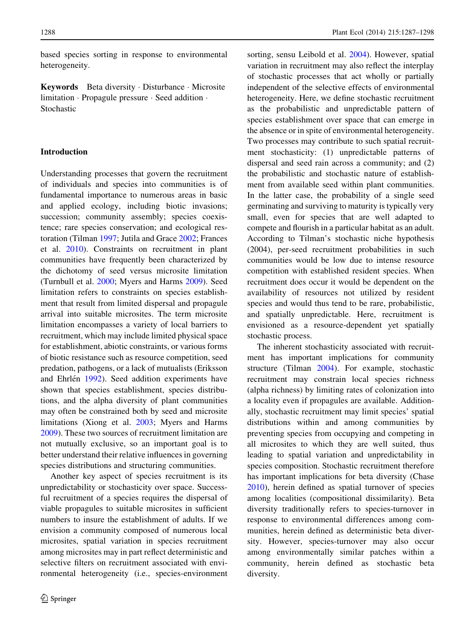based species sorting in response to environmental heterogeneity.

Keywords Beta diversity · Disturbance · Microsite limitation - Propagule pressure - Seed addition - Stochastic

## Introduction

Understanding processes that govern the recruitment of individuals and species into communities is of fundamental importance to numerous areas in basic and applied ecology, including biotic invasions; succession; community assembly; species coexistence; rare species conservation; and ecological restoration (Tilman [1997;](#page-11-0) Jutila and Grace [2002](#page-10-0); Frances et al. [2010](#page-10-0)). Constraints on recruitment in plant communities have frequently been characterized by the dichotomy of seed versus microsite limitation (Turnbull et al. [2000;](#page-11-0) Myers and Harms [2009\)](#page-11-0). Seed limitation refers to constraints on species establishment that result from limited dispersal and propagule arrival into suitable microsites. The term microsite limitation encompasses a variety of local barriers to recruitment, which may include limited physical space for establishment, abiotic constraints, or various forms of biotic resistance such as resource competition, seed predation, pathogens, or a lack of mutualists (Eriksson and Ehrlén [1992](#page-10-0)). Seed addition experiments have shown that species establishment, species distributions, and the alpha diversity of plant communities may often be constrained both by seed and microsite limitations (Xiong et al. [2003;](#page-11-0) Myers and Harms [2009\)](#page-11-0). These two sources of recruitment limitation are not mutually exclusive, so an important goal is to better understand their relative influences in governing species distributions and structuring communities.

Another key aspect of species recruitment is its unpredictability or stochasticity over space. Successful recruitment of a species requires the dispersal of viable propagules to suitable microsites in sufficient numbers to insure the establishment of adults. If we envision a community composed of numerous local microsites, spatial variation in species recruitment among microsites may in part reflect deterministic and selective filters on recruitment associated with environmental heterogeneity (i.e., species-environment

sorting, sensu Leibold et al. [2004](#page-11-0)). However, spatial variation in recruitment may also reflect the interplay of stochastic processes that act wholly or partially independent of the selective effects of environmental heterogeneity. Here, we define stochastic recruitment as the probabilistic and unpredictable pattern of species establishment over space that can emerge in the absence or in spite of environmental heterogeneity. Two processes may contribute to such spatial recruitment stochasticity: (1) unpredictable patterns of dispersal and seed rain across a community; and (2) the probabilistic and stochastic nature of establishment from available seed within plant communities. In the latter case, the probability of a single seed germinating and surviving to maturity is typically very small, even for species that are well adapted to compete and flourish in a particular habitat as an adult. According to Tilman's stochastic niche hypothesis (2004), per-seed recruitment probabilities in such communities would be low due to intense resource competition with established resident species. When recruitment does occur it would be dependent on the availability of resources not utilized by resident species and would thus tend to be rare, probabilistic, and spatially unpredictable. Here, recruitment is envisioned as a resource-dependent yet spatially stochastic process.

The inherent stochasticity associated with recruitment has important implications for community structure (Tilman [2004](#page-11-0)). For example, stochastic recruitment may constrain local species richness (alpha richness) by limiting rates of colonization into a locality even if propagules are available. Additionally, stochastic recruitment may limit species' spatial distributions within and among communities by preventing species from occupying and competing in all microsites to which they are well suited, thus leading to spatial variation and unpredictability in species composition. Stochastic recruitment therefore has important implications for beta diversity (Chase [2010\)](#page-10-0), herein defined as spatial turnover of species among localities (compositional dissimilarity). Beta diversity traditionally refers to species-turnover in response to environmental differences among communities, herein defined as deterministic beta diversity. However, species-turnover may also occur among environmentally similar patches within a community, herein defined as stochastic beta diversity.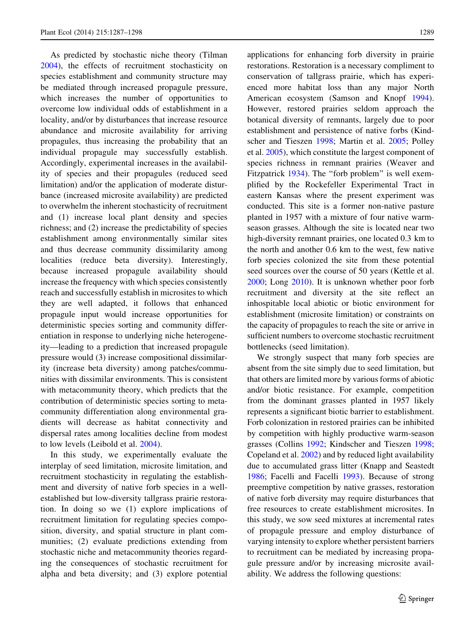As predicted by stochastic niche theory (Tilman [2004\)](#page-11-0), the effects of recruitment stochasticity on species establishment and community structure may be mediated through increased propagule pressure, which increases the number of opportunities to overcome low individual odds of establishment in a locality, and/or by disturbances that increase resource abundance and microsite availability for arriving propagules, thus increasing the probability that an individual propagule may successfully establish. Accordingly, experimental increases in the availability of species and their propagules (reduced seed limitation) and/or the application of moderate disturbance (increased microsite availability) are predicted to overwhelm the inherent stochasticity of recruitment and (1) increase local plant density and species richness; and (2) increase the predictability of species establishment among environmentally similar sites and thus decrease community dissimilarity among localities (reduce beta diversity). Interestingly, because increased propagule availability should increase the frequency with which species consistently reach and successfully establish in microsites to which they are well adapted, it follows that enhanced propagule input would increase opportunities for deterministic species sorting and community differentiation in response to underlying niche heterogeneity—leading to a prediction that increased propagule pressure would (3) increase compositional dissimilarity (increase beta diversity) among patches/communities with dissimilar environments. This is consistent with metacommunity theory, which predicts that the contribution of deterministic species sorting to metacommunity differentiation along environmental gradients will decrease as habitat connectivity and dispersal rates among localities decline from modest to low levels (Leibold et al. [2004](#page-11-0)).

In this study, we experimentally evaluate the interplay of seed limitation, microsite limitation, and recruitment stochasticity in regulating the establishment and diversity of native forb species in a wellestablished but low-diversity tallgrass prairie restoration. In doing so we (1) explore implications of recruitment limitation for regulating species composition, diversity, and spatial structure in plant communities; (2) evaluate predictions extending from stochastic niche and metacommunity theories regarding the consequences of stochastic recruitment for alpha and beta diversity; and (3) explore potential

applications for enhancing forb diversity in prairie restorations. Restoration is a necessary compliment to conservation of tallgrass prairie, which has experienced more habitat loss than any major North American ecosystem (Samson and Knopf [1994](#page-11-0)). However, restored prairies seldom approach the botanical diversity of remnants, largely due to poor establishment and persistence of native forbs (Kindscher and Tieszen [1998](#page-11-0); Martin et al. [2005;](#page-11-0) Polley et al. [2005](#page-11-0)), which constitute the largest component of species richness in remnant prairies (Weaver and Fitzpatrick [1934](#page-11-0)). The "forb problem" is well exemplified by the Rockefeller Experimental Tract in eastern Kansas where the present experiment was conducted. This site is a former non-native pasture planted in 1957 with a mixture of four native warmseason grasses. Although the site is located near two high-diversity remnant prairies, one located 0.3 km to the north and another 0.6 km to the west, few native forb species colonized the site from these potential seed sources over the course of 50 years (Kettle et al. [2000;](#page-11-0) Long [2010\)](#page-11-0). It is unknown whether poor forb recruitment and diversity at the site reflect an inhospitable local abiotic or biotic environment for establishment (microsite limitation) or constraints on the capacity of propagules to reach the site or arrive in sufficient numbers to overcome stochastic recruitment bottlenecks (seed limitation).

We strongly suspect that many forb species are absent from the site simply due to seed limitation, but that others are limited more by various forms of abiotic and/or biotic resistance. For example, competition from the dominant grasses planted in 1957 likely represents a significant biotic barrier to establishment. Forb colonization in restored prairies can be inhibited by competition with highly productive warm-season grasses (Collins [1992](#page-10-0); Kindscher and Tieszen [1998](#page-11-0); Copeland et al. [2002\)](#page-10-0) and by reduced light availability due to accumulated grass litter (Knapp and Seastedt [1986;](#page-11-0) Facelli and Facelli [1993\)](#page-10-0). Because of strong preemptive competition by native grasses, restoration of native forb diversity may require disturbances that free resources to create establishment microsites. In this study, we sow seed mixtures at incremental rates of propagule pressure and employ disturbance of varying intensity to explore whether persistent barriers to recruitment can be mediated by increasing propagule pressure and/or by increasing microsite availability. We address the following questions: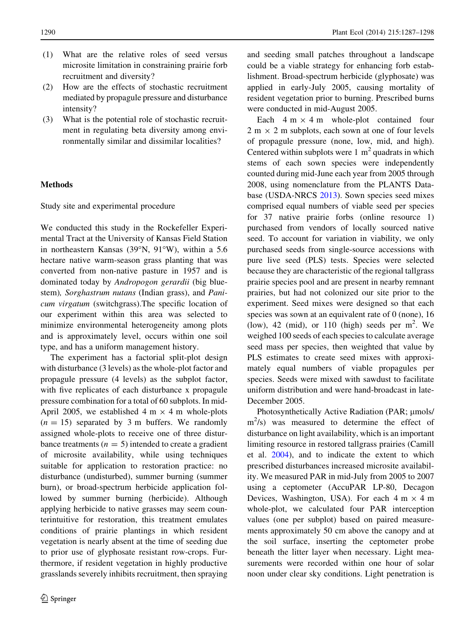- (1) What are the relative roles of seed versus microsite limitation in constraining prairie forb recruitment and diversity?
- (2) How are the effects of stochastic recruitment mediated by propagule pressure and disturbance intensity?
- (3) What is the potential role of stochastic recruitment in regulating beta diversity among environmentally similar and dissimilar localities?

# Methods

Study site and experimental procedure

We conducted this study in the Rockefeller Experimental Tract at the University of Kansas Field Station in northeastern Kansas (39°N, 91°W), within a 5.6 hectare native warm-season grass planting that was converted from non-native pasture in 1957 and is dominated today by Andropogon gerardii (big bluestem), Sorghastrum nutans (Indian grass), and Panicum virgatum (switchgrass).The specific location of our experiment within this area was selected to minimize environmental heterogeneity among plots and is approximately level, occurs within one soil type, and has a uniform management history.

The experiment has a factorial split-plot design with disturbance (3 levels) as the whole-plot factor and propagule pressure (4 levels) as the subplot factor, with five replicates of each disturbance x propagule pressure combination for a total of 60 subplots. In mid-April 2005, we established 4 m  $\times$  4 m whole-plots  $(n = 15)$  separated by 3 m buffers. We randomly assigned whole-plots to receive one of three disturbance treatments ( $n = 5$ ) intended to create a gradient of microsite availability, while using techniques suitable for application to restoration practice: no disturbance (undisturbed), summer burning (summer burn), or broad-spectrum herbicide application followed by summer burning (herbicide). Although applying herbicide to native grasses may seem counterintuitive for restoration, this treatment emulates conditions of prairie plantings in which resident vegetation is nearly absent at the time of seeding due to prior use of glyphosate resistant row-crops. Furthermore, if resident vegetation in highly productive grasslands severely inhibits recruitment, then spraying and seeding small patches throughout a landscape could be a viable strategy for enhancing forb establishment. Broad-spectrum herbicide (glyphosate) was applied in early-July 2005, causing mortality of resident vegetation prior to burning. Prescribed burns were conducted in mid-August 2005.

Each  $4 \text{ m} \times 4 \text{ m}$  whole-plot contained four 2 m  $\times$  2 m subplots, each sown at one of four levels of propagule pressure (none, low, mid, and high). Centered within subplots were  $1 \text{ m}^2$  quadrats in which stems of each sown species were independently counted during mid-June each year from 2005 through 2008, using nomenclature from the PLANTS Database (USDA-NRCS [2013\)](#page-11-0). Sown species seed mixes comprised equal numbers of viable seed per species for 37 native prairie forbs (online resource 1) purchased from vendors of locally sourced native seed. To account for variation in viability, we only purchased seeds from single-source accessions with pure live seed (PLS) tests. Species were selected because they are characteristic of the regional tallgrass prairie species pool and are present in nearby remnant prairies, but had not colonized our site prior to the experiment. Seed mixes were designed so that each species was sown at an equivalent rate of 0 (none), 16 (low), 42 (mid), or 110 (high) seeds per  $m^2$ . We weighed 100 seeds of each species to calculate average seed mass per species, then weighted that value by PLS estimates to create seed mixes with approximately equal numbers of viable propagules per species. Seeds were mixed with sawdust to facilitate uniform distribution and were hand-broadcast in late-December 2005.

Photosynthetically Active Radiation (PAR; µmols/ m<sup>2</sup>/s) was measured to determine the effect of disturbance on light availability, which is an important limiting resource in restored tallgrass prairies (Camill et al. [2004\)](#page-10-0), and to indicate the extent to which prescribed disturbances increased microsite availability. We measured PAR in mid-July from 2005 to 2007 using a ceptometer (AccuPAR LP-80, Decagon Devices, Washington, USA). For each  $4 \text{ m} \times 4 \text{ m}$ whole-plot, we calculated four PAR interception values (one per subplot) based on paired measurements approximately 50 cm above the canopy and at the soil surface, inserting the ceptometer probe beneath the litter layer when necessary. Light measurements were recorded within one hour of solar noon under clear sky conditions. Light penetration is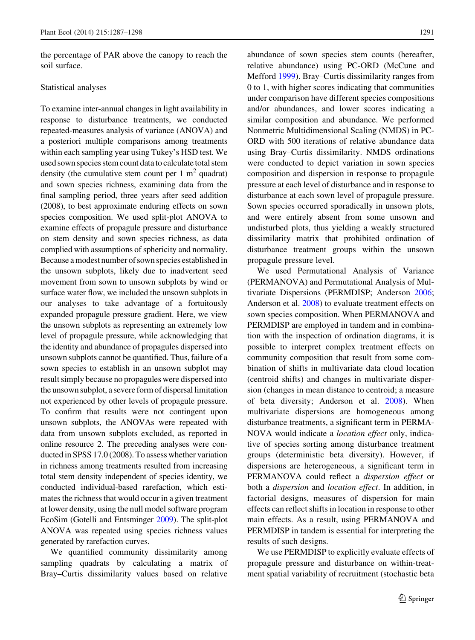the percentage of PAR above the canopy to reach the soil surface.

#### Statistical analyses

To examine inter-annual changes in light availability in response to disturbance treatments, we conducted repeated-measures analysis of variance (ANOVA) and a posteriori multiple comparisons among treatments within each sampling year using Tukey's HSD test. We used sown species stem count data to calculate total stem density (the cumulative stem count per  $1 \text{ m}^2$  quadrat) and sown species richness, examining data from the final sampling period, three years after seed addition (2008), to best approximate enduring effects on sown species composition. We used split-plot ANOVA to examine effects of propagule pressure and disturbance on stem density and sown species richness, as data complied with assumptions of sphericity and normality. Because a modest number of sown species established in the unsown subplots, likely due to inadvertent seed movement from sown to unsown subplots by wind or surface water flow, we included the unsown subplots in our analyses to take advantage of a fortuitously expanded propagule pressure gradient. Here, we view the unsown subplots as representing an extremely low level of propagule pressure, while acknowledging that the identity and abundance of propagules dispersed into unsown subplots cannot be quantified. Thus, failure of a sown species to establish in an unsown subplot may result simply because no propagules were dispersed into the unsown subplot, a severe form of dispersal limitation not experienced by other levels of propagule pressure. To confirm that results were not contingent upon unsown subplots, the ANOVAs were repeated with data from unsown subplots excluded, as reported in online resource 2. The preceding analyses were conducted in SPSS 17.0 (2008). To assess whether variation in richness among treatments resulted from increasing total stem density independent of species identity, we conducted individual-based rarefaction, which estimates the richness that would occur in a given treatment at lower density, using the null model software program EcoSim (Gotelli and Entsminger [2009\)](#page-10-0). The split-plot ANOVA was repeated using species richness values generated by rarefaction curves.

We quantified community dissimilarity among sampling quadrats by calculating a matrix of Bray–Curtis dissimilarity values based on relative abundance of sown species stem counts (hereafter, relative abundance) using PC-ORD (McCune and Mefford [1999](#page-11-0)). Bray–Curtis dissimilarity ranges from 0 to 1, with higher scores indicating that communities under comparison have different species compositions and/or abundances, and lower scores indicating a similar composition and abundance. We performed Nonmetric Multidimensional Scaling (NMDS) in PC-ORD with 500 iterations of relative abundance data using Bray–Curtis dissimilarity. NMDS ordinations were conducted to depict variation in sown species composition and dispersion in response to propagule pressure at each level of disturbance and in response to disturbance at each sown level of propagule pressure. Sown species occurred sporadically in unsown plots, and were entirely absent from some unsown and undisturbed plots, thus yielding a weakly structured dissimilarity matrix that prohibited ordination of disturbance treatment groups within the unsown propagule pressure level.

We used Permutational Analysis of Variance (PERMANOVA) and Permutational Analysis of Multivariate Dispersions (PERMDISP; Anderson [2006](#page-10-0); Anderson et al. [2008](#page-10-0)) to evaluate treatment effects on sown species composition. When PERMANOVA and PERMDISP are employed in tandem and in combination with the inspection of ordination diagrams, it is possible to interpret complex treatment effects on community composition that result from some combination of shifts in multivariate data cloud location (centroid shifts) and changes in multivariate dispersion (changes in mean distance to centroid; a measure of beta diversity; Anderson et al. [2008\)](#page-10-0). When multivariate dispersions are homogeneous among disturbance treatments, a significant term in PERMA-NOVA would indicate a location effect only, indicative of species sorting among disturbance treatment groups (deterministic beta diversity). However, if dispersions are heterogeneous, a significant term in PERMANOVA could reflect a dispersion effect or both a dispersion and location effect. In addition, in factorial designs, measures of dispersion for main effects can reflect shifts in location in response to other main effects. As a result, using PERMANOVA and PERMDISP in tandem is essential for interpreting the results of such designs.

We use PERMDISP to explicitly evaluate effects of propagule pressure and disturbance on within-treatment spatial variability of recruitment (stochastic beta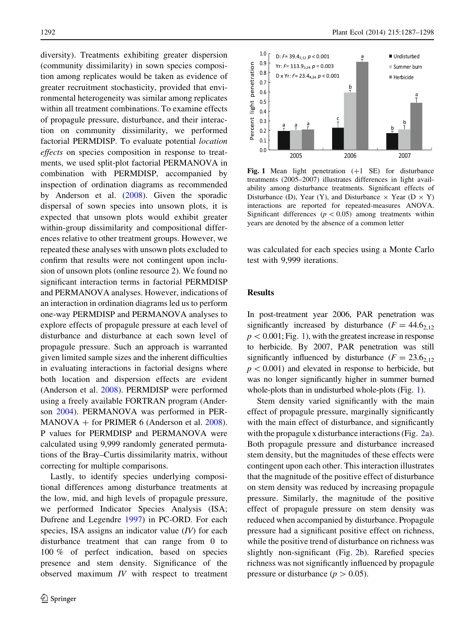<span id="page-5-0"></span>diversity). Treatments exhibiting greater dispersion (community dissimilarity) in sown species composition among replicates would be taken as evidence of greater recruitment stochasticity, provided that environmental heterogeneity was similar among replicates within all treatment combinations. To examine effects of propagule pressure, disturbance, and their interaction on community dissimilarity, we performed factorial PERMDISP. To evaluate potential location effects on species composition in response to treatments, we used split-plot factorial PERMANOVA in combination with PERMDISP, accompanied by inspection of ordination diagrams as recommended by Anderson et al. [\(2008](#page-10-0)). Given the sporadic dispersal of sown species into unsown plots, it is expected that unsown plots would exhibit greater within-group dissimilarity and compositional differences relative to other treatment groups. However, we repeated these analyses with unsown plots excluded to confirm that results were not contingent upon inclusion of unsown plots (online resource 2). We found no significant interaction terms in factorial PERMDISP and PERMANOVA analyses. However, indications of an interaction in ordination diagrams led us to perform one-way PERMDISP and PERMANOVA analyses to explore effects of propagule pressure at each level of disturbance and disturbance at each sown level of propagule pressure. Such an approach is warranted given limited sample sizes and the inherent difficulties in evaluating interactions in factorial designs where both location and dispersion effects are evident (Anderson et al. [2008](#page-10-0)). PERMDISP were performed using a freely available FORTRAN program (Anderson [2004\)](#page-10-0). PERMANOVA was performed in PER-MANOVA  $+$  for PRIMER 6 (Anderson et al. [2008](#page-10-0)). P values for PERMDISP and PERMANOVA were calculated using 9,999 randomly generated permutations of the Bray–Curtis dissimilarity matrix, without correcting for multiple comparisons.

Lastly, to identify species underlying compositional differences among disturbance treatments at the low, mid, and high levels of propagule pressure, we performed Indicator Species Analysis (ISA; Dufrene and Legendre [1997\)](#page-10-0) in PC-ORD. For each species, ISA assigns an indicator value  $(IV)$  for each disturbance treatment that can range from 0 to 100 % of perfect indication, based on species presence and stem density. Significance of the observed maximum IV with respect to treatment



Fig. 1 Mean light penetration  $(+1 \text{ SE})$  for disturbance treatments (2005–2007) illustrates differences in light availability among disturbance treatments. Significant effects of Disturbance (D), Year (Y), and Disturbance  $\times$  Year (D  $\times$  Y) interactions are reported for repeated-measures ANOVA. Significant differences ( $p < 0.05$ ) among treatments within years are denoted by the absence of a common letter

was calculated for each species using a Monte Carlo test with 9,999 iterations.

# Results

In post-treatment year 2006, PAR penetration was significantly increased by disturbance  $(F = 44.6_{2.12})$  $p\lt 0.001$ ; Fig. 1), with the greatest increase in response to herbicide. By 2007, PAR penetration was still significantly influenced by disturbance  $(F = 23.6_{2.12})$  $p<0.001$ ) and elevated in response to herbicide, but was no longer significantly higher in summer burned whole-plots than in undisturbed whole-plots (Fig. 1).

Stem density varied significantly with the main effect of propagule pressure, marginally significantly with the main effect of disturbance, and significantly with the propagule x disturbance interactions (Fig. [2a](#page-6-0)). Both propagule pressure and disturbance increased stem density, but the magnitudes of these effects were contingent upon each other. This interaction illustrates that the magnitude of the positive effect of disturbance on stem density was reduced by increasing propagule pressure. Similarly, the magnitude of the positive effect of propagule pressure on stem density was reduced when accompanied by disturbance. Propagule pressure had a significant positive effect on richness, while the positive trend of disturbance on richness was slightly non-significant (Fig. [2b](#page-6-0)). Rarefied species richness was not significantly influenced by propagule pressure or disturbance ( $p > 0.05$ ).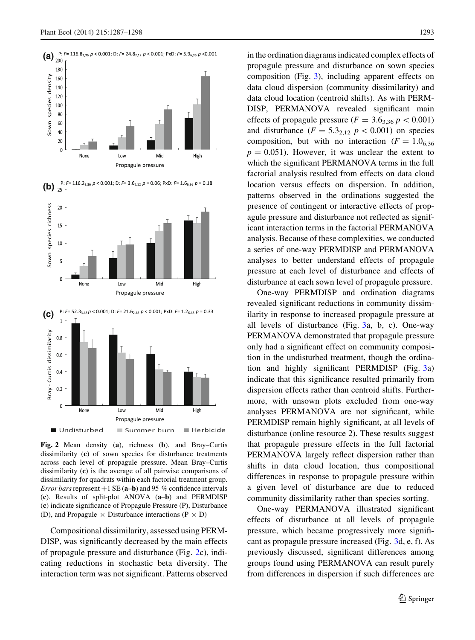<span id="page-6-0"></span>

Fig. 2 Mean density (a), richness (b), and Bray–Curtis dissimilarity (c) of sown species for disturbance treatments across each level of propagule pressure. Mean Bray–Curtis dissimilarity (c) is the average of all pairwise comparisons of dissimilarity for quadrats within each factorial treatment group. *Error bars* represent  $+1$  SE (a–b) and 95 % confidence intervals (c). Results of split-plot ANOVA (a–b) and PERMDISP (c) indicate significance of Propagule Pressure (P), Disturbance (D), and Propagule  $\times$  Disturbance interactions (P  $\times$  D)

Compositional dissimilarity, assessed using PERM-DISP, was significantly decreased by the main effects of propagule pressure and disturbance (Fig. 2c), indicating reductions in stochastic beta diversity. The interaction term was not significant. Patterns observed in the ordination diagrams indicated complex effects of propagule pressure and disturbance on sown species composition (Fig. [3\)](#page-7-0), including apparent effects on data cloud dispersion (community dissimilarity) and data cloud location (centroid shifts). As with PERM-DISP, PERMANOVA revealed significant main effects of propagule pressure ( $F = 3.6_{3,36} p \lt 0.001$ ) and disturbance  $(F = 5.3_{2,12} p < 0.001)$  on species composition, but with no interaction ( $F = 1.0_{6,36}$ )  $p = 0.051$ . However, it was unclear the extent to which the significant PERMANOVA terms in the full factorial analysis resulted from effects on data cloud location versus effects on dispersion. In addition, patterns observed in the ordinations suggested the presence of contingent or interactive effects of propagule pressure and disturbance not reflected as significant interaction terms in the factorial PERMANOVA analysis. Because of these complexities, we conducted a series of one-way PERMDISP and PERMANOVA analyses to better understand effects of propagule pressure at each level of disturbance and effects of disturbance at each sown level of propagule pressure.

One-way PERMDISP and ordination diagrams revealed significant reductions in community dissimilarity in response to increased propagule pressure at all levels of disturbance (Fig. [3](#page-7-0)a, b, c). One-way PERMANOVA demonstrated that propagule pressure only had a significant effect on community composition in the undisturbed treatment, though the ordination and highly significant PERMDISP (Fig. [3](#page-7-0)a) indicate that this significance resulted primarily from dispersion effects rather than centroid shifts. Furthermore, with unsown plots excluded from one-way analyses PERMANOVA are not significant, while PERMDISP remain highly significant, at all levels of disturbance (online resource 2). These results suggest that propagule pressure effects in the full factorial PERMANOVA largely reflect dispersion rather than shifts in data cloud location, thus compositional differences in response to propagule pressure within a given level of disturbance are due to reduced community dissimilarity rather than species sorting.

One-way PERMANOVA illustrated significant effects of disturbance at all levels of propagule pressure, which became progressively more significant as propagule pressure increased (Fig. [3](#page-7-0)d, e, f). As previously discussed, significant differences among groups found using PERMANOVA can result purely from differences in dispersion if such differences are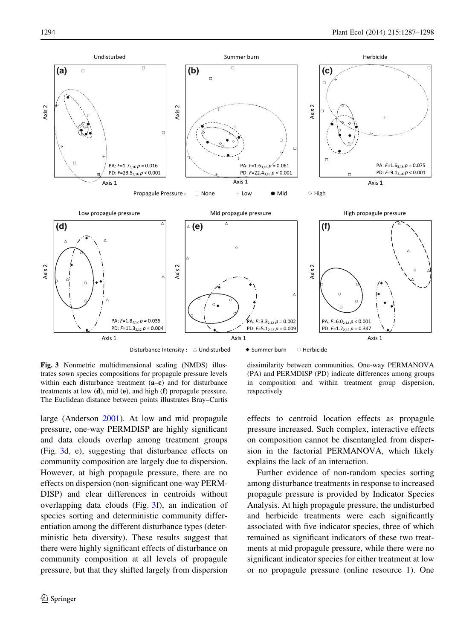<span id="page-7-0"></span>

Herbicide ◆ Summer burn

Fig. 3 Nonmetric multidimensional scaling (NMDS) illustrates sown species compositions for propagule pressure levels within each disturbance treatment (a–c) and for disturbance treatments at low (d), mid (e), and high (f) propagule pressure. The Euclidean distance between points illustrates Bray–Curtis

large (Anderson [2001](#page-10-0)). At low and mid propagule pressure, one-way PERMDISP are highly significant and data clouds overlap among treatment groups (Fig. 3d, e), suggesting that disturbance effects on community composition are largely due to dispersion. However, at high propagule pressure, there are no effects on dispersion (non-significant one-way PERM-DISP) and clear differences in centroids without overlapping data clouds (Fig. 3f), an indication of species sorting and deterministic community differentiation among the different disturbance types (deterministic beta diversity). These results suggest that there were highly significant effects of disturbance on community composition at all levels of propagule pressure, but that they shifted largely from dispersion

dissimilarity between communities. One-way PERMANOVA (PA) and PERMDISP (PD) indicate differences among groups in composition and within treatment group dispersion, respectively

effects to centroid location effects as propagule pressure increased. Such complex, interactive effects on composition cannot be disentangled from dispersion in the factorial PERMANOVA, which likely explains the lack of an interaction.

Further evidence of non-random species sorting among disturbance treatments in response to increased propagule pressure is provided by Indicator Species Analysis. At high propagule pressure, the undisturbed and herbicide treatments were each significantly associated with five indicator species, three of which remained as significant indicators of these two treatments at mid propagule pressure, while there were no significant indicator species for either treatment at low or no propagule pressure (online resource 1). One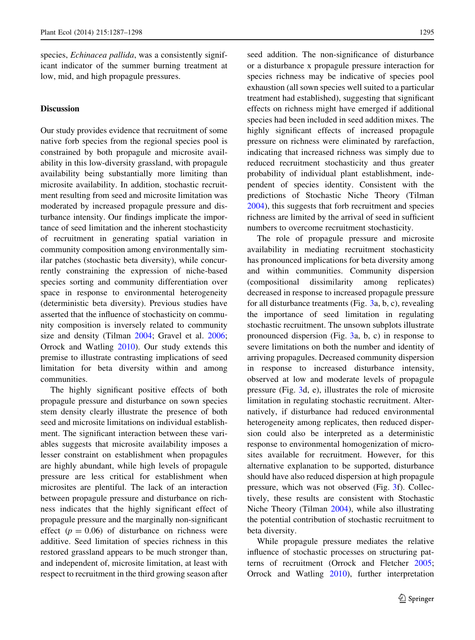species, *Echinacea pallida*, was a consistently significant indicator of the summer burning treatment at low, mid, and high propagule pressures.

## **Discussion**

Our study provides evidence that recruitment of some native forb species from the regional species pool is constrained by both propagule and microsite availability in this low-diversity grassland, with propagule availability being substantially more limiting than microsite availability. In addition, stochastic recruitment resulting from seed and microsite limitation was moderated by increased propagule pressure and disturbance intensity. Our findings implicate the importance of seed limitation and the inherent stochasticity of recruitment in generating spatial variation in community composition among environmentally similar patches (stochastic beta diversity), while concurrently constraining the expression of niche-based species sorting and community differentiation over space in response to environmental heterogeneity (deterministic beta diversity). Previous studies have asserted that the influence of stochasticity on community composition is inversely related to community size and density (Tilman [2004](#page-11-0); Gravel et al. [2006](#page-10-0); Orrock and Watling [2010\)](#page-11-0). Our study extends this premise to illustrate contrasting implications of seed limitation for beta diversity within and among communities.

The highly significant positive effects of both propagule pressure and disturbance on sown species stem density clearly illustrate the presence of both seed and microsite limitations on individual establishment. The significant interaction between these variables suggests that microsite availability imposes a lesser constraint on establishment when propagules are highly abundant, while high levels of propagule pressure are less critical for establishment when microsites are plentiful. The lack of an interaction between propagule pressure and disturbance on richness indicates that the highly significant effect of propagule pressure and the marginally non-significant effect ( $p = 0.06$ ) of disturbance on richness were additive. Seed limitation of species richness in this restored grassland appears to be much stronger than, and independent of, microsite limitation, at least with respect to recruitment in the third growing season after

seed addition. The non-significance of disturbance or a disturbance x propagule pressure interaction for species richness may be indicative of species pool exhaustion (all sown species well suited to a particular treatment had established), suggesting that significant effects on richness might have emerged if additional species had been included in seed addition mixes. The highly significant effects of increased propagule pressure on richness were eliminated by rarefaction, indicating that increased richness was simply due to reduced recruitment stochasticity and thus greater probability of individual plant establishment, independent of species identity. Consistent with the predictions of Stochastic Niche Theory (Tilman [2004\)](#page-11-0), this suggests that forb recruitment and species richness are limited by the arrival of seed in sufficient numbers to overcome recruitment stochasticity.

The role of propagule pressure and microsite availability in mediating recruitment stochasticity has pronounced implications for beta diversity among and within communities. Community dispersion (compositional dissimilarity among replicates) decreased in response to increased propagule pressure for all disturbance treatments (Fig. [3](#page-7-0)a, b, c), revealing the importance of seed limitation in regulating stochastic recruitment. The unsown subplots illustrate pronounced dispersion (Fig. [3](#page-7-0)a, b, c) in response to severe limitations on both the number and identity of arriving propagules. Decreased community dispersion in response to increased disturbance intensity, observed at low and moderate levels of propagule pressure (Fig. [3](#page-7-0)d, e), illustrates the role of microsite limitation in regulating stochastic recruitment. Alternatively, if disturbance had reduced environmental heterogeneity among replicates, then reduced dispersion could also be interpreted as a deterministic response to environmental homogenization of microsites available for recruitment. However, for this alternative explanation to be supported, disturbance should have also reduced dispersion at high propagule pressure, which was not observed (Fig. [3f](#page-7-0)). Collectively, these results are consistent with Stochastic Niche Theory (Tilman [2004](#page-11-0)), while also illustrating the potential contribution of stochastic recruitment to beta diversity.

While propagule pressure mediates the relative influence of stochastic processes on structuring patterns of recruitment (Orrock and Fletcher [2005](#page-11-0); Orrock and Watling [2010\)](#page-11-0), further interpretation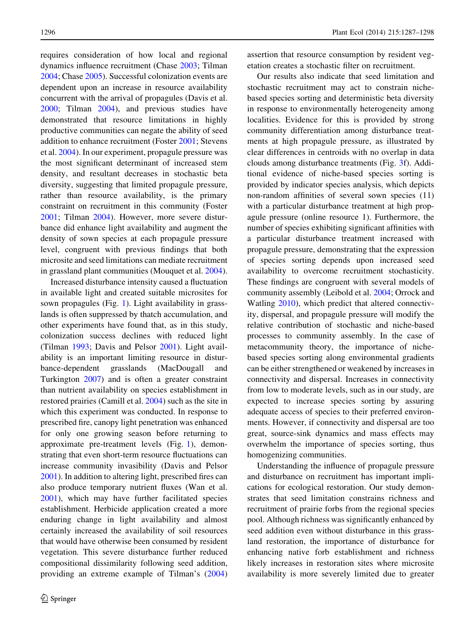requires consideration of how local and regional dynamics influence recruitment (Chase [2003](#page-10-0); Tilman [2004;](#page-11-0) Chase [2005](#page-10-0)). Successful colonization events are dependent upon an increase in resource availability concurrent with the arrival of propagules (Davis et al. [2000;](#page-10-0) Tilman [2004\)](#page-11-0), and previous studies have demonstrated that resource limitations in highly productive communities can negate the ability of seed addition to enhance recruitment (Foster [2001](#page-10-0); Stevens et al. [2004](#page-11-0)). In our experiment, propagule pressure was the most significant determinant of increased stem density, and resultant decreases in stochastic beta diversity, suggesting that limited propagule pressure, rather than resource availability, is the primary constraint on recruitment in this community (Foster [2001;](#page-10-0) Tilman [2004](#page-11-0)). However, more severe disturbance did enhance light availability and augment the density of sown species at each propagule pressure level, congruent with previous findings that both microsite and seed limitations can mediate recruitment in grassland plant communities (Mouquet et al. [2004](#page-11-0)).

Increased disturbance intensity caused a fluctuation in available light and created suitable microsites for sown propagules (Fig. [1](#page-5-0)). Light availability in grasslands is often suppressed by thatch accumulation, and other experiments have found that, as in this study, colonization success declines with reduced light (Tilman [1993;](#page-11-0) Davis and Pelsor [2001\)](#page-10-0). Light availability is an important limiting resource in disturbance-dependent grasslands (MacDougall Turkington [2007\)](#page-11-0) and is often a greater constraint than nutrient availability on species establishment in restored prairies (Camill et al. [2004](#page-10-0)) such as the site in which this experiment was conducted. In response to prescribed fire, canopy light penetration was enhanced for only one growing season before returning to approximate pre-treatment levels (Fig. [1\)](#page-5-0), demonstrating that even short-term resource fluctuations can increase community invasibility (Davis and Pelsor [2001\)](#page-10-0). In addition to altering light, prescribed fires can also produce temporary nutrient fluxes (Wan et al. [2001\)](#page-11-0), which may have further facilitated species establishment. Herbicide application created a more enduring change in light availability and almost certainly increased the availability of soil resources that would have otherwise been consumed by resident vegetation. This severe disturbance further reduced compositional dissimilarity following seed addition, providing an extreme example of Tilman's ([2004\)](#page-11-0)

assertion that resource consumption by resident vegetation creates a stochastic filter on recruitment.

Our results also indicate that seed limitation and stochastic recruitment may act to constrain nichebased species sorting and deterministic beta diversity in response to environmentally heterogeneity among localities. Evidence for this is provided by strong community differentiation among disturbance treatments at high propagule pressure, as illustrated by clear differences in centroids with no overlap in data clouds among disturbance treatments (Fig. [3f](#page-7-0)). Additional evidence of niche-based species sorting is provided by indicator species analysis, which depicts non-random affinities of several sown species (11) with a particular disturbance treatment at high propagule pressure (online resource 1). Furthermore, the number of species exhibiting significant affinities with a particular disturbance treatment increased with propagule pressure, demonstrating that the expression of species sorting depends upon increased seed availability to overcome recruitment stochasticity. These findings are congruent with several models of community assembly (Leibold et al. [2004](#page-11-0); Orrock and Watling [2010\)](#page-11-0), which predict that altered connectivity, dispersal, and propagule pressure will modify the relative contribution of stochastic and niche-based processes to community assembly. In the case of metacommunity theory, the importance of nichebased species sorting along environmental gradients can be either strengthened or weakened by increases in connectivity and dispersal. Increases in connectivity from low to moderate levels, such as in our study, are expected to increase species sorting by assuring adequate access of species to their preferred environments. However, if connectivity and dispersal are too great, source-sink dynamics and mass effects may overwhelm the importance of species sorting, thus homogenizing communities.

Understanding the influence of propagule pressure and disturbance on recruitment has important implications for ecological restoration. Our study demonstrates that seed limitation constrains richness and recruitment of prairie forbs from the regional species pool. Although richness was significantly enhanced by seed addition even without disturbance in this grassland restoration, the importance of disturbance for enhancing native forb establishment and richness likely increases in restoration sites where microsite availability is more severely limited due to greater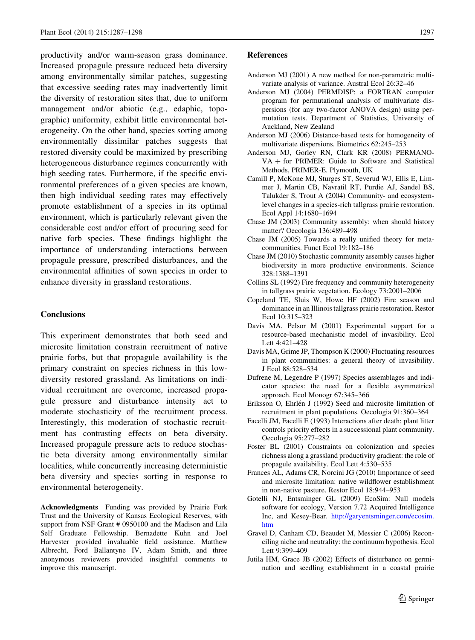<span id="page-10-0"></span>productivity and/or warm-season grass dominance. Increased propagule pressure reduced beta diversity among environmentally similar patches, suggesting that excessive seeding rates may inadvertently limit the diversity of restoration sites that, due to uniform management and/or abiotic (e.g., edaphic, topographic) uniformity, exhibit little environmental heterogeneity. On the other hand, species sorting among environmentally dissimilar patches suggests that restored diversity could be maximized by prescribing heterogeneous disturbance regimes concurrently with high seeding rates. Furthermore, if the specific environmental preferences of a given species are known, then high individual seeding rates may effectively promote establishment of a species in its optimal environment, which is particularly relevant given the considerable cost and/or effort of procuring seed for native forb species. These findings highlight the importance of understanding interactions between propagule pressure, prescribed disturbances, and the environmental affinities of sown species in order to enhance diversity in grassland restorations.

# **Conclusions**

This experiment demonstrates that both seed and microsite limitation constrain recruitment of native prairie forbs, but that propagule availability is the primary constraint on species richness in this lowdiversity restored grassland. As limitations on individual recruitment are overcome, increased propagule pressure and disturbance intensity act to moderate stochasticity of the recruitment process. Interestingly, this moderation of stochastic recruitment has contrasting effects on beta diversity. Increased propagule pressure acts to reduce stochastic beta diversity among environmentally similar localities, while concurrently increasing deterministic beta diversity and species sorting in response to environmental heterogeneity.

Acknowledgments Funding was provided by Prairie Fork Trust and the University of Kansas Ecological Reserves, with support from NSF Grant # 0950100 and the Madison and Lila Self Graduate Fellowship. Bernadette Kuhn and Joel Harvester provided invaluable field assistance. Matthew Albrecht, Ford Ballantyne IV, Adam Smith, and three anonymous reviewers provided insightful comments to improve this manuscript.

## References

- Anderson MJ (2001) A new method for non-parametric multivariate analysis of variance. Austral Ecol 26:32–46
- Anderson MJ (2004) PERMDISP: a FORTRAN computer program for permutational analysis of multivariate dispersions (for any two-factor ANOVA design) using permutation tests. Department of Statistics, University of Auckland, New Zealand
- Anderson MJ (2006) Distance-based tests for homogeneity of multivariate dispersions. Biometrics 62:245–253
- Anderson MJ, Gorley RN, Clark KR (2008) PERMANO- $VA + for PRIMER: Guide to Software and Statistical$ Methods, PRIMER-E. Plymouth, UK
- Camill P, McKone MJ, Sturges ST, Severud WJ, Ellis E, Limmer J, Martin CB, Navratil RT, Purdie AJ, Sandel BS, Talukder S, Trout A (2004) Community- and ecosystemlevel changes in a species-rich tallgrass prairie restoration. Ecol Appl 14:1680–1694
- Chase JM (2003) Community assembly: when should history matter? Oecologia 136:489–498
- Chase JM (2005) Towards a really unified theory for metacommunities. Funct Ecol 19:182–186
- Chase JM (2010) Stochastic community assembly causes higher biodiversity in more productive environments. Science 328:1388–1391
- Collins SL (1992) Fire frequency and community heterogeneity in tallgrass prairie vegetation. Ecology 73:2001–2006
- Copeland TE, Sluis W, Howe HF (2002) Fire season and dominance in an Illinois tallgrass prairie restoration. Restor Ecol 10:315–323
- Davis MA, Pelsor M (2001) Experimental support for a resource-based mechanistic model of invasibility. Ecol Lett 4:421–428
- Davis MA, Grime JP, Thompson K (2000) Fluctuating resources in plant communities: a general theory of invasibility. J Ecol 88:528–534
- Dufrene M, Legendre P (1997) Species assemblages and indicator species: the need for a flexible asymmetrical approach. Ecol Monogr 67:345–366
- Eriksson O, Ehrlén J (1992) Seed and microsite limitation of recruitment in plant populations. Oecologia 91:360–364
- Facelli JM, Facelli E (1993) Interactions after death: plant litter controls priority effects in a successional plant community. Oecologia 95:277–282
- Foster BL (2001) Constraints on colonization and species richness along a grassland productivity gradient: the role of propagule availability. Ecol Lett 4:530–535
- Frances AL, Adams CR, Norcini JG (2010) Importance of seed and microsite limitation: native wildflower establishment in non-native pasture. Restor Ecol 18:944–953
- Gotelli NJ, Entsminger GL (2009) EcoSim: Null models software for ecology, Version 7.72 Acquired Intelligence Inc, and Kesey-Bear. [http://garyentsminger.com/ecosim.](http://garyentsminger.com/ecosim.htm) [htm](http://garyentsminger.com/ecosim.htm)
- Gravel D, Canham CD, Beaudet M, Messier C (2006) Reconciling niche and neutrality: the continuum hypothesis. Ecol Lett 9:399–409
- Jutila HM, Grace JB (2002) Effects of disturbance on germination and seedling establishment in a coastal prairie